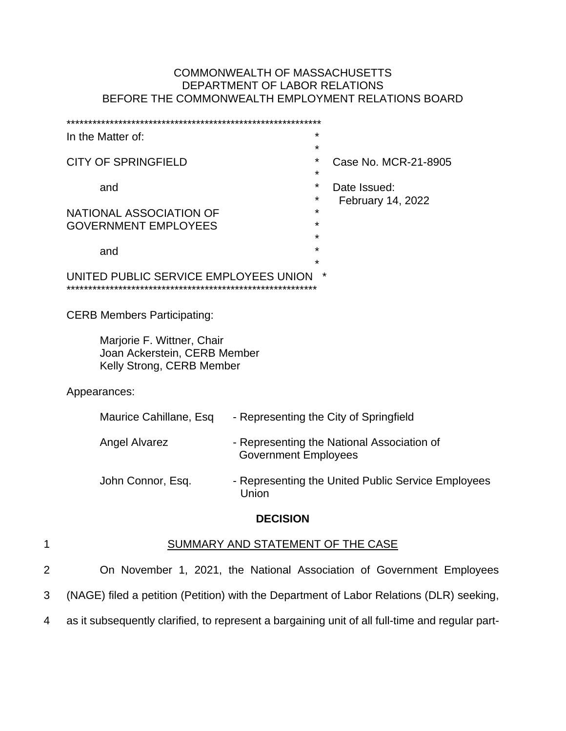# COMMONWEALTH OF MASSACHUSETTS DEPARTMENT OF LABOR RELATIONS BEFORE THE COMMONWEALTH EMPLOYMENT RELATIONS BOARD

|                | In the Matter of:                                                                        | *                                                  |  |
|----------------|------------------------------------------------------------------------------------------|----------------------------------------------------|--|
|                | <b>CITY OF SPRINGFIELD</b>                                                               | $^\star$<br>Case No. MCR-21-8905<br>*              |  |
|                | and<br>NATIONAL ASSOCIATION OF                                                           | *<br>Date Issued:<br>*<br>February 14, 2022<br>*   |  |
|                | <b>GOVERNMENT EMPLOYEES</b><br>and                                                       | *<br>×<br>*<br>*                                   |  |
|                | *<br>UNITED PUBLIC SERVICE EMPLOYEES UNION                                               |                                                    |  |
|                | <b>CERB Members Participating:</b>                                                       |                                                    |  |
|                | Marjorie F. Wittner, Chair<br>Joan Ackerstein, CERB Member<br>Kelly Strong, CERB Member  |                                                    |  |
|                | Appearances:                                                                             |                                                    |  |
|                | Maurice Cahillane, Esq                                                                   | - Representing the City of Springfield             |  |
|                | <b>Angel Alvarez</b><br><b>Government Employees</b>                                      | - Representing the National Association of         |  |
|                | John Connor, Esq.<br>Union                                                               | - Representing the United Public Service Employees |  |
|                | <b>DECISION</b>                                                                          |                                                    |  |
| 1              | SUMMARY AND STATEMENT OF THE CASE                                                        |                                                    |  |
| $\overline{c}$ | On November 1, 2021, the National Association of Government Employees                    |                                                    |  |
| 3              | (NAGE) filed a petition (Petition) with the Department of Labor Relations (DLR) seeking, |                                                    |  |

4 as it subsequently clarified, to represent a bargaining unit of all full-time and regular part-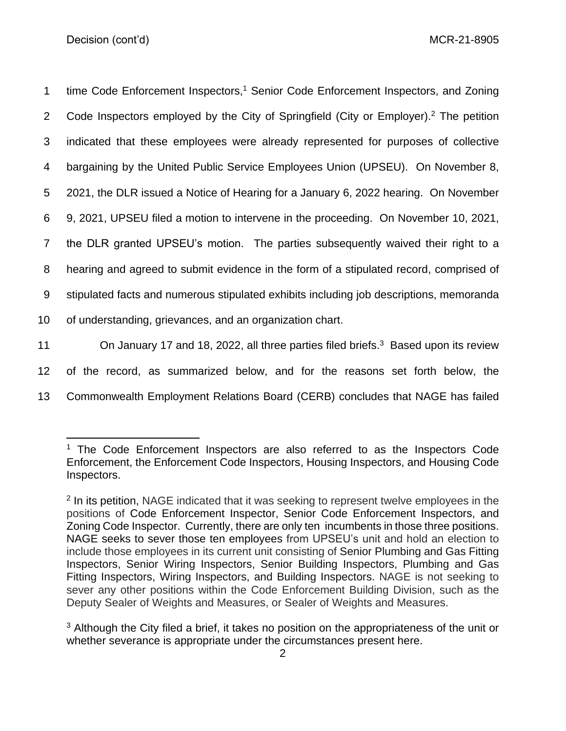1 time Code Enforcement Inspectors,<sup>1</sup> Senior Code Enforcement Inspectors, and Zoning 2 Code Inspectors employed by the City of Springfield (City or Employer).<sup>2</sup> The petition indicated that these employees were already represented for purposes of collective bargaining by the United Public Service Employees Union (UPSEU). On November 8, 2021, the DLR issued a Notice of Hearing for a January 6, 2022 hearing. On November 9, 2021, UPSEU filed a motion to intervene in the proceeding. On November 10, 2021, the DLR granted UPSEU's motion. The parties subsequently waived their right to a hearing and agreed to submit evidence in the form of a stipulated record, comprised of stipulated facts and numerous stipulated exhibits including job descriptions, memoranda of understanding, grievances, and an organization chart. 11 On January 17 and 18, 2022, all three parties filed briefs.<sup>3</sup> Based upon its review of the record, as summarized below, and for the reasons set forth below, the Commonwealth Employment Relations Board (CERB) concludes that NAGE has failed

<sup>&</sup>lt;sup>1</sup> The Code Enforcement Inspectors are also referred to as the Inspectors Code Enforcement, the Enforcement Code Inspectors, Housing Inspectors, and Housing Code Inspectors.

<sup>&</sup>lt;sup>2</sup> In its petition, NAGE indicated that it was seeking to represent twelve employees in the positions of Code Enforcement Inspector, Senior Code Enforcement Inspectors, and Zoning Code Inspector. Currently, there are only ten incumbents in those three positions. NAGE seeks to sever those ten employees from UPSEU's unit and hold an election to include those employees in its current unit consisting of Senior Plumbing and Gas Fitting Inspectors, Senior Wiring Inspectors, Senior Building Inspectors, Plumbing and Gas Fitting Inspectors, Wiring Inspectors, and Building Inspectors. NAGE is not seeking to sever any other positions within the Code Enforcement Building Division, such as the Deputy Sealer of Weights and Measures, or Sealer of Weights and Measures.

<sup>&</sup>lt;sup>3</sup> Although the City filed a brief, it takes no position on the appropriateness of the unit or whether severance is appropriate under the circumstances present here.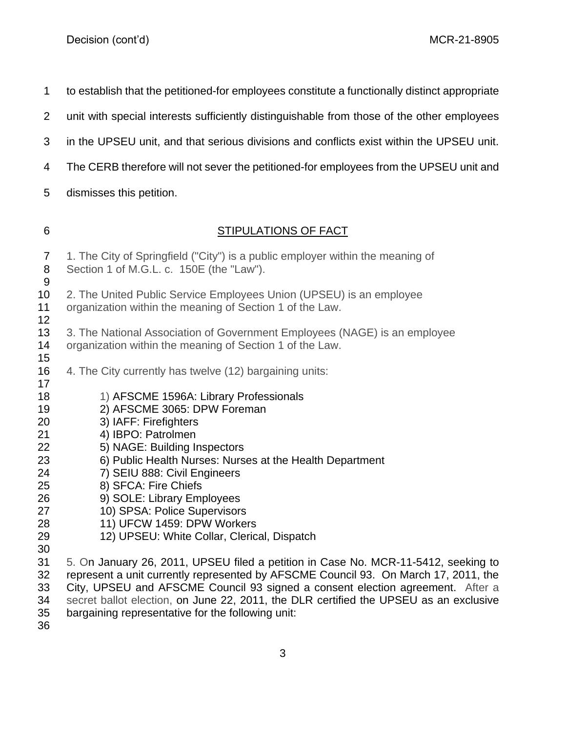to establish that the petitioned-for employees constitute a functionally distinct appropriate

- unit with special interests sufficiently distinguishable from those of the other employees
- in the UPSEU unit, and that serious divisions and conflicts exist within the UPSEU unit.
- 4 The CERB therefore will not sever the petitioned-for employees from the UPSEU unit and
- dismisses this petition.
- 

# STIPULATIONS OF FACT

- 1. The City of Springfield ("City") is a public employer within the meaning of Section 1 of M.G.L. c. 150E (the "Law"). 10 2. The United Public Service Employees Union (UPSEU) is an employee organization within the meaning of Section 1 of the Law. 3. The National Association of Government Employees (NAGE) is an employee organization within the meaning of Section 1 of the Law. 4. The City currently has twelve (12) bargaining units: 1) AFSCME 1596A: Library Professionals
- 2) AFSCME 3065: DPW Foreman
- 3) IAFF: Firefighters
- 4) IBPO: Patrolmen
- 5) NAGE: Building Inspectors
- 6) Public Health Nurses: Nurses at the Health Department
- 7) SEIU 888: Civil Engineers
- 8) SFCA: Fire Chiefs
- 9) SOLE: Library Employees
- 10) SPSA: Police Supervisors
- 11) UFCW 1459: DPW Workers
- 12) UPSEU: White Collar, Clerical, Dispatch
- 

 5. On January 26, 2011, UPSEU filed a petition in Case No. MCR-11-5412, seeking to represent a unit currently represented by AFSCME Council 93. On March 17, 2011, the City, UPSEU and AFSCME Council 93 signed a consent election agreement. After a secret ballot election, on June 22, 2011, the DLR certified the UPSEU as an exclusive bargaining representative for the following unit: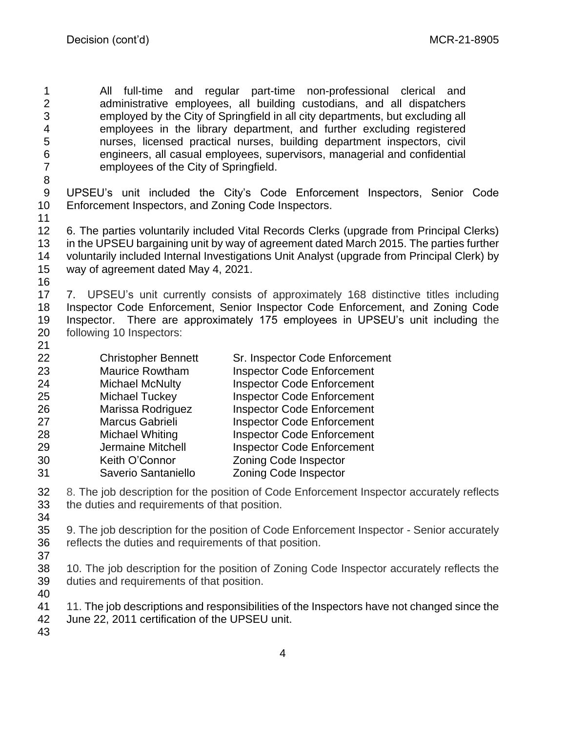All full-time and regular part-time non-professional clerical and administrative employees, all building custodians, and all dispatchers employed by the City of Springfield in all city departments, but excluding all employees in the library department, and further excluding registered nurses, licensed practical nurses, building department inspectors, civil engineers, all casual employees, supervisors, managerial and confidential employees of the City of Springfield.

- UPSEU's unit included the City's Code Enforcement Inspectors, Senior Code Enforcement Inspectors, and Zoning Code Inspectors.
- 

 6. The parties voluntarily included Vital Records Clerks (upgrade from Principal Clerks) in the UPSEU bargaining unit by way of agreement dated March 2015. The parties further voluntarily included Internal Investigations Unit Analyst (upgrade from Principal Clerk) by way of agreement dated May 4, 2021.

 7. UPSEU's unit currently consists of approximately 168 distinctive titles including Inspector Code Enforcement, Senior Inspector Code Enforcement, and Zoning Code Inspector. There are approximately 175 employees in UPSEU's unit including the following 10 Inspectors: 

| 22 | <b>Christopher Bennett</b> | Sr. Inspector Code Enforcement    |
|----|----------------------------|-----------------------------------|
| 23 | <b>Maurice Rowtham</b>     | <b>Inspector Code Enforcement</b> |
| 24 | <b>Michael McNulty</b>     | <b>Inspector Code Enforcement</b> |
| 25 | <b>Michael Tuckey</b>      | <b>Inspector Code Enforcement</b> |
| 26 | Marissa Rodriguez          | <b>Inspector Code Enforcement</b> |
| 27 | Marcus Gabrieli            | <b>Inspector Code Enforcement</b> |
| 28 | <b>Michael Whiting</b>     | <b>Inspector Code Enforcement</b> |
| 29 | Jermaine Mitchell          | <b>Inspector Code Enforcement</b> |
| 30 | Keith O'Connor             | <b>Zoning Code Inspector</b>      |
| 31 | Saverio Santaniello        | <b>Zoning Code Inspector</b>      |
|    |                            |                                   |

 8. The job description for the position of Code Enforcement Inspector accurately reflects the duties and requirements of that position.

 9. The job description for the position of Code Enforcement Inspector - Senior accurately reflects the duties and requirements of that position.

 10. The job description for the position of Zoning Code Inspector accurately reflects the duties and requirements of that position. 

11. The job descriptions and responsibilities of the Inspectors have not changed since the

June 22, 2011 certification of the UPSEU unit.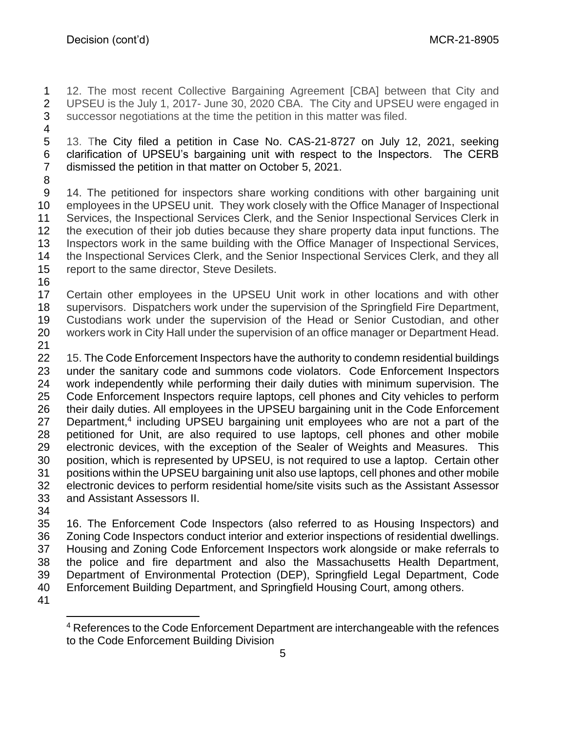12. The most recent Collective Bargaining Agreement [CBA] between that City and UPSEU is the July 1, 2017- June 30, 2020 CBA. The City and UPSEU were engaged in successor negotiations at the time the petition in this matter was filed.

 13. The City filed a petition in Case No. CAS-21-8727 on July 12, 2021, seeking clarification of UPSEU's bargaining unit with respect to the Inspectors. The CERB dismissed the petition in that matter on October 5, 2021.

 14. The petitioned for inspectors share working conditions with other bargaining unit employees in the UPSEU unit. They work closely with the Office Manager of Inspectional Services, the Inspectional Services Clerk, and the Senior Inspectional Services Clerk in the execution of their job duties because they share property data input functions. The Inspectors work in the same building with the Office Manager of Inspectional Services, the Inspectional Services Clerk, and the Senior Inspectional Services Clerk, and they all report to the same director, Steve Desilets.

 Certain other employees in the UPSEU Unit work in other locations and with other supervisors. Dispatchers work under the supervision of the Springfield Fire Department, Custodians work under the supervision of the Head or Senior Custodian, and other workers work in City Hall under the supervision of an office manager or Department Head.

 15. The Code Enforcement Inspectors have the authority to condemn residential buildings under the sanitary code and summons code violators. Code Enforcement Inspectors work independently while performing their daily duties with minimum supervision. The Code Enforcement Inspectors require laptops, cell phones and City vehicles to perform their daily duties. All employees in the UPSEU bargaining unit in the Code Enforcement 27 Department,<sup>4</sup> including UPSEU bargaining unit employees who are not a part of the petitioned for Unit, are also required to use laptops, cell phones and other mobile electronic devices, with the exception of the Sealer of Weights and Measures. This position, which is represented by UPSEU, is not required to use a laptop. Certain other positions within the UPSEU bargaining unit also use laptops, cell phones and other mobile electronic devices to perform residential home/site visits such as the Assistant Assessor and Assistant Assessors II.

 16. The Enforcement Code Inspectors (also referred to as Housing Inspectors) and Zoning Code Inspectors conduct interior and exterior inspections of residential dwellings. Housing and Zoning Code Enforcement Inspectors work alongside or make referrals to the police and fire department and also the Massachusetts Health Department, Department of Environmental Protection (DEP), Springfield Legal Department, Code Enforcement Building Department, and Springfield Housing Court, among others.

 References to the Code Enforcement Department are interchangeable with the refences to the Code Enforcement Building Division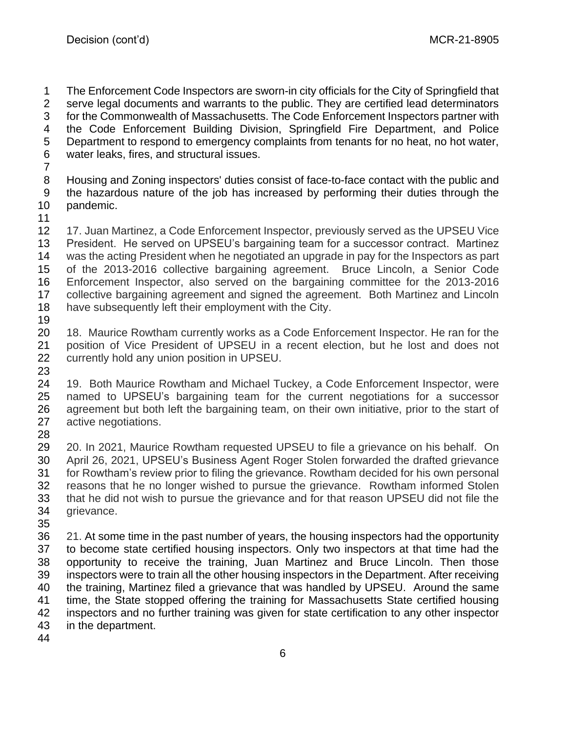The Enforcement Code Inspectors are sworn-in city officials for the City of Springfield that serve legal documents and warrants to the public. They are certified lead determinators for the Commonwealth of Massachusetts. The Code Enforcement Inspectors partner with the Code Enforcement Building Division, Springfield Fire Department, and Police Department to respond to emergency complaints from tenants for no heat, no hot water, water leaks, fires, and structural issues. Housing and Zoning inspectors' duties consist of face-to-face contact with the public and the hazardous nature of the job has increased by performing their duties through the pandemic. 17. Juan Martinez, a Code Enforcement Inspector, previously served as the UPSEU Vice

 President. He served on UPSEU's bargaining team for a successor contract. Martinez was the acting President when he negotiated an upgrade in pay for the Inspectors as part of the 2013-2016 collective bargaining agreement. Bruce Lincoln, a Senior Code Enforcement Inspector, also served on the bargaining committee for the 2013-2016 collective bargaining agreement and signed the agreement. Both Martinez and Lincoln have subsequently left their employment with the City. 

 18. Maurice Rowtham currently works as a Code Enforcement Inspector. He ran for the position of Vice President of UPSEU in a recent election, but he lost and does not currently hold any union position in UPSEU.

 19. Both Maurice Rowtham and Michael Tuckey, a Code Enforcement Inspector, were named to UPSEU's bargaining team for the current negotiations for a successor agreement but both left the bargaining team, on their own initiative, prior to the start of active negotiations.

 20. In 2021, Maurice Rowtham requested UPSEU to file a grievance on his behalf. On April 26, 2021, UPSEU's Business Agent Roger Stolen forwarded the drafted grievance for Rowtham's review prior to filing the grievance. Rowtham decided for his own personal reasons that he no longer wished to pursue the grievance. Rowtham informed Stolen that he did not wish to pursue the grievance and for that reason UPSEU did not file the grievance.

 21. At some time in the past number of years, the housing inspectors had the opportunity to become state certified housing inspectors. Only two inspectors at that time had the opportunity to receive the training, Juan Martinez and Bruce Lincoln. Then those inspectors were to train all the other housing inspectors in the Department. After receiving the training, Martinez filed a grievance that was handled by UPSEU. Around the same time, the State stopped offering the training for Massachusetts State certified housing inspectors and no further training was given for state certification to any other inspector in the department.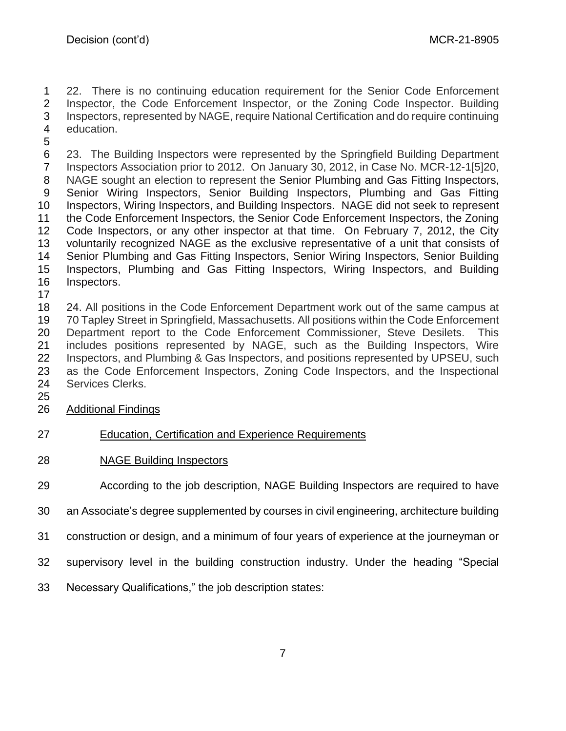22. There is no continuing education requirement for the Senior Code Enforcement Inspector, the Code Enforcement Inspector, or the Zoning Code Inspector. Building Inspectors, represented by NAGE, require National Certification and do require continuing education.

 23. The Building Inspectors were represented by the Springfield Building Department Inspectors Association prior to 2012. On January 30, 2012, in Case No. MCR-12-1[5]20, NAGE sought an election to represent the Senior Plumbing and Gas Fitting Inspectors, Senior Wiring Inspectors, Senior Building Inspectors, Plumbing and Gas Fitting Inspectors, Wiring Inspectors, and Building Inspectors. NAGE did not seek to represent the Code Enforcement Inspectors, the Senior Code Enforcement Inspectors, the Zoning Code Inspectors, or any other inspector at that time. On February 7, 2012, the City voluntarily recognized NAGE as the exclusive representative of a unit that consists of Senior Plumbing and Gas Fitting Inspectors, Senior Wiring Inspectors, Senior Building Inspectors, Plumbing and Gas Fitting Inspectors, Wiring Inspectors, and Building Inspectors.

 24. All positions in the Code Enforcement Department work out of the same campus at 70 Tapley Street in Springfield, Massachusetts. All positions within the Code Enforcement Department report to the Code Enforcement Commissioner, Steve Desilets. This includes positions represented by NAGE, such as the Building Inspectors, Wire Inspectors, and Plumbing & Gas Inspectors, and positions represented by UPSEU, such as the Code Enforcement Inspectors, Zoning Code Inspectors, and the Inspectional Services Clerks.

Additional Findings

- Education, Certification and Experience Requirements
- NAGE Building Inspectors

According to the job description, NAGE Building Inspectors are required to have

an Associate's degree supplemented by courses in civil engineering, architecture building

- construction or design, and a minimum of four years of experience at the journeyman or
- supervisory level in the building construction industry. Under the heading "Special
- Necessary Qualifications," the job description states: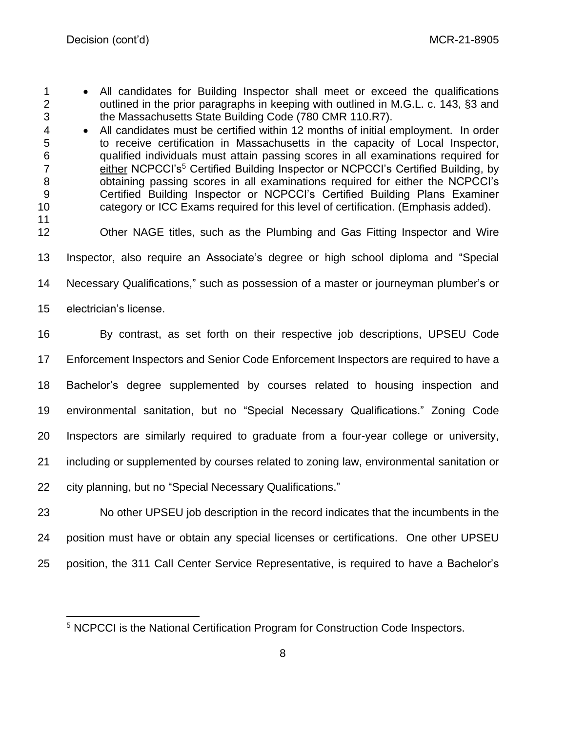- All candidates for Building Inspector shall meet or exceed the qualifications 2 outlined in the prior paragraphs in keeping with outlined in M.G.L. c. 143, §3 and the Massachusetts State Building Code (780 CMR 110.R7).
- All candidates must be certified within 12 months of initial employment. In order to receive certification in Massachusetts in the capacity of Local Inspector, qualified individuals must attain passing scores in all examinations required for 7 **Either NCPCCI's<sup>5</sup> Certified Building Inspector or NCPCCI's Certified Building, by**  obtaining passing scores in all examinations required for either the NCPCCI's Certified Building Inspector or NCPCCI's Certified Building Plans Examiner category or ICC Exams required for this level of certification. (Emphasis added).
- 
- Other NAGE titles, such as the Plumbing and Gas Fitting Inspector and Wire
- Inspector, also require an Associate's degree or high school diploma and "Special
- Necessary Qualifications," such as possession of a master or journeyman plumber's or
- electrician's license.
- By contrast, as set forth on their respective job descriptions, UPSEU Code Enforcement Inspectors and Senior Code Enforcement Inspectors are required to have a Bachelor's degree supplemented by courses related to housing inspection and environmental sanitation, but no "Special Necessary Qualifications." Zoning Code Inspectors are similarly required to graduate from a four-year college or university, including or supplemented by courses related to zoning law, environmental sanitation or city planning, but no "Special Necessary Qualifications."
- No other UPSEU job description in the record indicates that the incumbents in the position must have or obtain any special licenses or certifications. One other UPSEU position, the 311 Call Center Service Representative, is required to have a Bachelor's

NCPCCI is the National Certification Program for Construction Code Inspectors.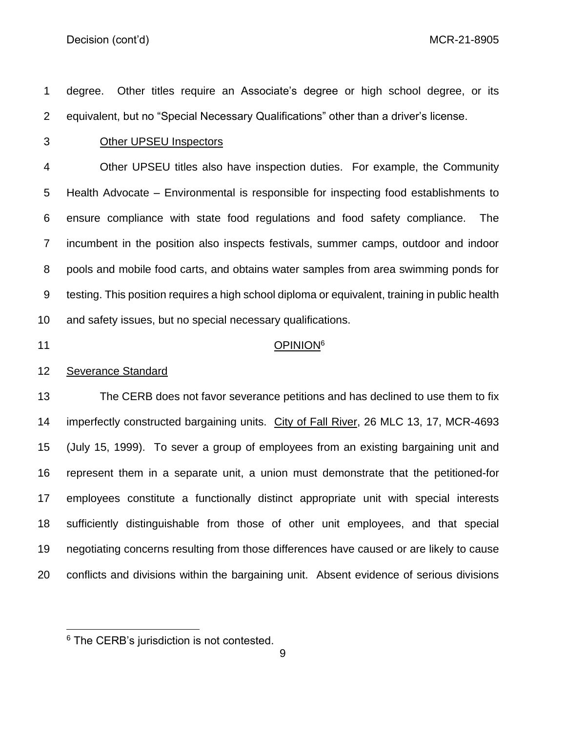degree. Other titles require an Associate's degree or high school degree, or its equivalent, but no "Special Necessary Qualifications" other than a driver's license.

#### Other UPSEU Inspectors

 Other UPSEU titles also have inspection duties. For example, the Community Health Advocate – Environmental is responsible for inspecting food establishments to ensure compliance with state food regulations and food safety compliance. The incumbent in the position also inspects festivals, summer camps, outdoor and indoor pools and mobile food carts, and obtains water samples from area swimming ponds for testing. This position requires a high school diploma or equivalent, training in public health and safety issues, but no special necessary qualifications.

## 11 OPINION<sup>6</sup>

#### Severance Standard

 The CERB does not favor severance petitions and has declined to use them to fix imperfectly constructed bargaining units. City of Fall River, 26 MLC 13, 17, MCR-4693 (July 15, 1999). To sever a group of employees from an existing bargaining unit and represent them in a separate unit, a union must demonstrate that the petitioned-for employees constitute a functionally distinct appropriate unit with special interests sufficiently distinguishable from those of other unit employees, and that special negotiating concerns resulting from those differences have caused or are likely to cause conflicts and divisions within the bargaining unit. Absent evidence of serious divisions

<sup>&</sup>lt;sup>6</sup> The CERB's jurisdiction is not contested.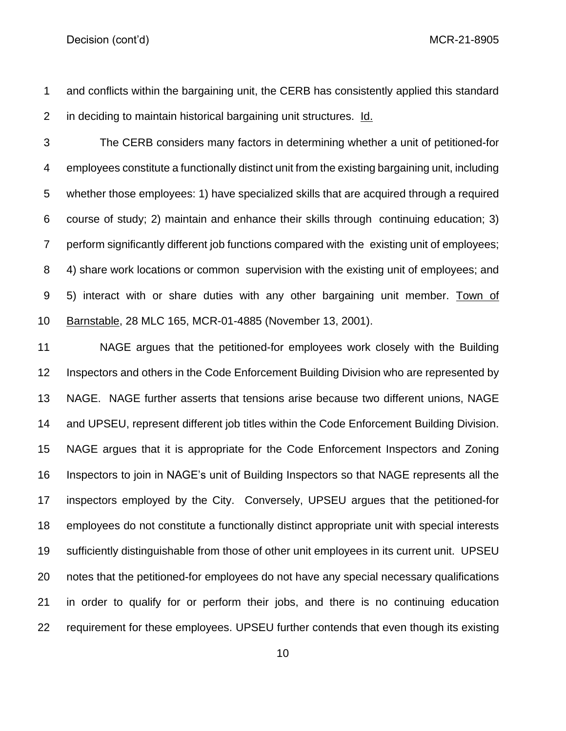- and conflicts within the bargaining unit, the CERB has consistently applied this standard in deciding to maintain historical bargaining unit structures. Id.
- 

 The CERB considers many factors in determining whether a unit of petitioned-for employees constitute a functionally distinct unit from the existing bargaining unit, including whether those employees: 1) have specialized skills that are acquired through a required course of study; 2) maintain and enhance their skills through continuing education; 3) perform significantly different job functions compared with the existing unit of employees; 4) share work locations or common supervision with the existing unit of employees; and 5) interact with or share duties with any other bargaining unit member. Town of Barnstable, 28 MLC 165, MCR-01-4885 (November 13, 2001).

 NAGE argues that the petitioned-for employees work closely with the Building Inspectors and others in the Code Enforcement Building Division who are represented by NAGE. NAGE further asserts that tensions arise because two different unions, NAGE and UPSEU, represent different job titles within the Code Enforcement Building Division. NAGE argues that it is appropriate for the Code Enforcement Inspectors and Zoning Inspectors to join in NAGE's unit of Building Inspectors so that NAGE represents all the inspectors employed by the City. Conversely, UPSEU argues that the petitioned-for employees do not constitute a functionally distinct appropriate unit with special interests sufficiently distinguishable from those of other unit employees in its current unit. UPSEU notes that the petitioned-for employees do not have any special necessary qualifications in order to qualify for or perform their jobs, and there is no continuing education requirement for these employees. UPSEU further contends that even though its existing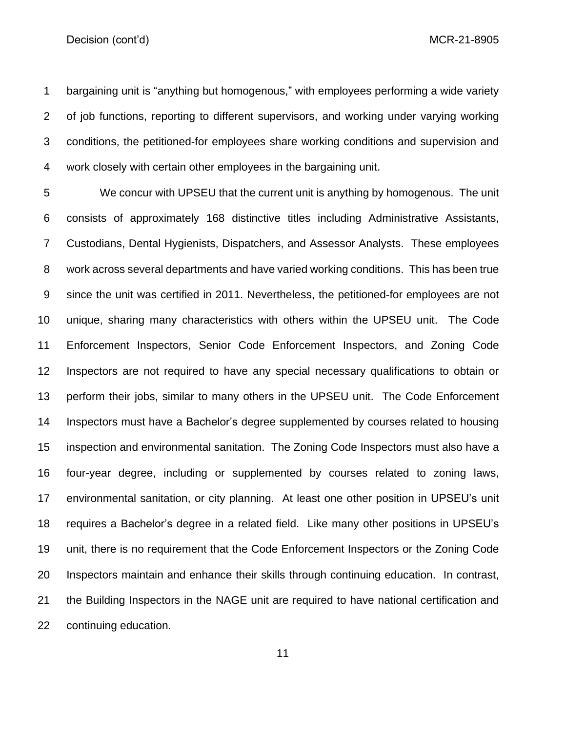bargaining unit is "anything but homogenous," with employees performing a wide variety of job functions, reporting to different supervisors, and working under varying working conditions, the petitioned-for employees share working conditions and supervision and work closely with certain other employees in the bargaining unit.

 We concur with UPSEU that the current unit is anything by homogenous. The unit consists of approximately 168 distinctive titles including Administrative Assistants, Custodians, Dental Hygienists, Dispatchers, and Assessor Analysts. These employees work across several departments and have varied working conditions. This has been true since the unit was certified in 2011. Nevertheless, the petitioned-for employees are not unique, sharing many characteristics with others within the UPSEU unit. The Code Enforcement Inspectors, Senior Code Enforcement Inspectors, and Zoning Code Inspectors are not required to have any special necessary qualifications to obtain or perform their jobs, similar to many others in the UPSEU unit. The Code Enforcement Inspectors must have a Bachelor's degree supplemented by courses related to housing inspection and environmental sanitation. The Zoning Code Inspectors must also have a four-year degree, including or supplemented by courses related to zoning laws, environmental sanitation, or city planning. At least one other position in UPSEU's unit requires a Bachelor's degree in a related field. Like many other positions in UPSEU's unit, there is no requirement that the Code Enforcement Inspectors or the Zoning Code Inspectors maintain and enhance their skills through continuing education. In contrast, the Building Inspectors in the NAGE unit are required to have national certification and continuing education.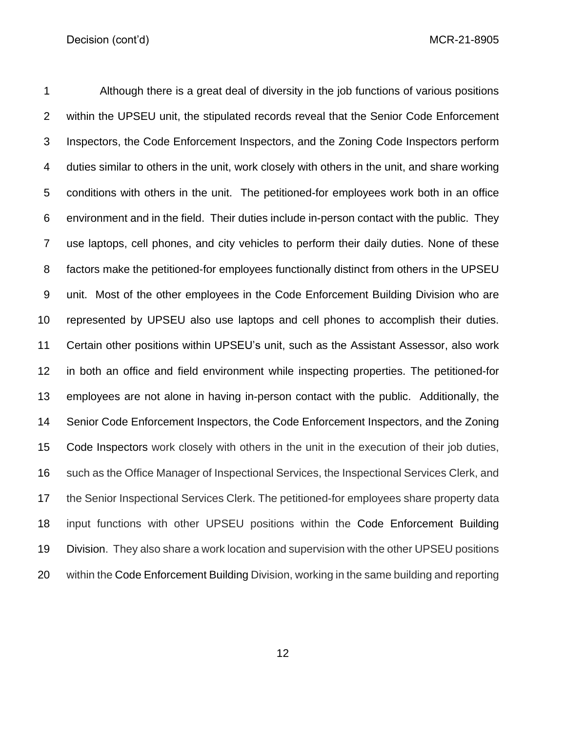Although there is a great deal of diversity in the job functions of various positions within the UPSEU unit, the stipulated records reveal that the Senior Code Enforcement Inspectors, the Code Enforcement Inspectors, and the Zoning Code Inspectors perform duties similar to others in the unit, work closely with others in the unit, and share working conditions with others in the unit. The petitioned-for employees work both in an office environment and in the field. Their duties include in-person contact with the public. They use laptops, cell phones, and city vehicles to perform their daily duties. None of these factors make the petitioned-for employees functionally distinct from others in the UPSEU unit. Most of the other employees in the Code Enforcement Building Division who are represented by UPSEU also use laptops and cell phones to accomplish their duties. Certain other positions within UPSEU's unit, such as the Assistant Assessor, also work in both an office and field environment while inspecting properties. The petitioned-for employees are not alone in having in-person contact with the public. Additionally, the Senior Code Enforcement Inspectors, the Code Enforcement Inspectors, and the Zoning Code Inspectors work closely with others in the unit in the execution of their job duties, such as the Office Manager of Inspectional Services, the Inspectional Services Clerk, and 17 the Senior Inspectional Services Clerk. The petitioned-for employees share property data input functions with other UPSEU positions within the Code Enforcement Building Division. They also share a work location and supervision with the other UPSEU positions within the Code Enforcement Building Division, working in the same building and reporting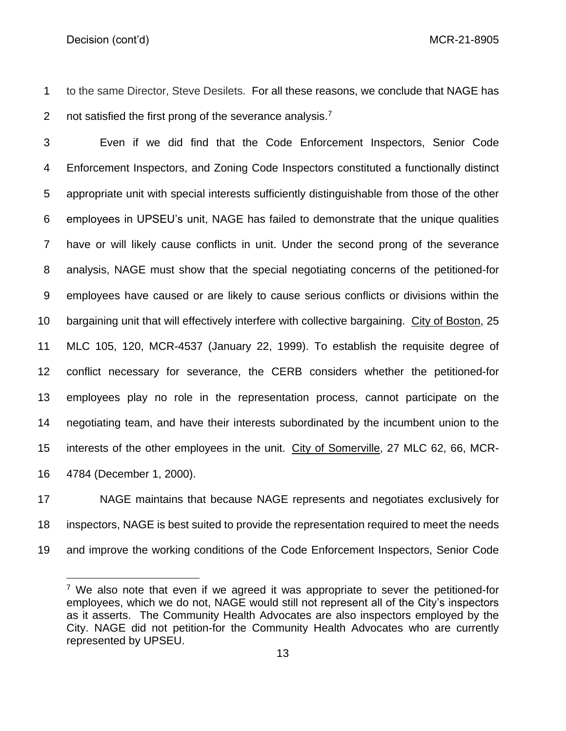to the same Director, Steve Desilets. For all these reasons, we conclude that NAGE has 2 not satisfied the first prong of the severance analysis.<sup>7</sup>

 Even if we did find that the Code Enforcement Inspectors, Senior Code Enforcement Inspectors, and Zoning Code Inspectors constituted a functionally distinct appropriate unit with special interests sufficiently distinguishable from those of the other employees in UPSEU's unit, NAGE has failed to demonstrate that the unique qualities have or will likely cause conflicts in unit. Under the second prong of the severance analysis, NAGE must show that the special negotiating concerns of the petitioned-for employees have caused or are likely to cause serious conflicts or divisions within the bargaining unit that will effectively interfere with collective bargaining. City of Boston, 25 MLC 105, 120, MCR-4537 (January 22, 1999). To establish the requisite degree of conflict necessary for severance, the CERB considers whether the petitioned-for employees play no role in the representation process, cannot participate on the negotiating team, and have their interests subordinated by the incumbent union to the interests of the other employees in the unit. City of Somerville, 27 MLC 62, 66, MCR-4784 (December 1, 2000).

 NAGE maintains that because NAGE represents and negotiates exclusively for inspectors, NAGE is best suited to provide the representation required to meet the needs and improve the working conditions of the Code Enforcement Inspectors, Senior Code

 We also note that even if we agreed it was appropriate to sever the petitioned-for employees, which we do not, NAGE would still not represent all of the City's inspectors as it asserts. The Community Health Advocates are also inspectors employed by the City. NAGE did not petition-for the Community Health Advocates who are currently represented by UPSEU.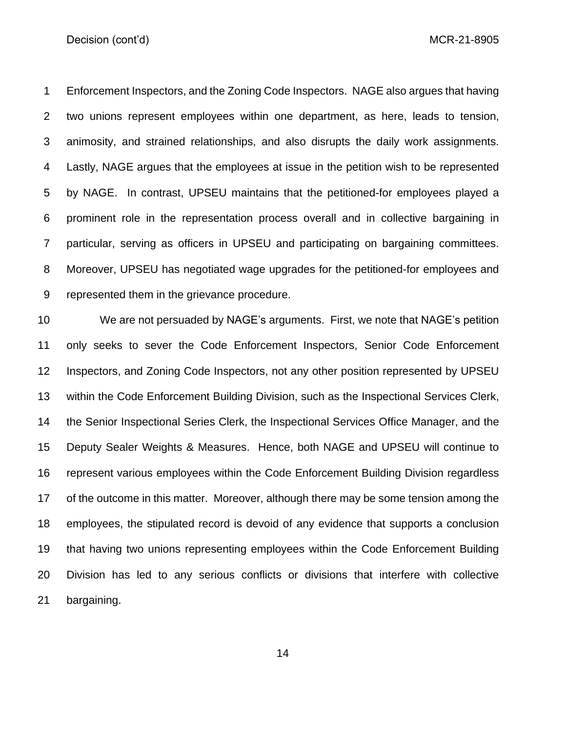Enforcement Inspectors, and the Zoning Code Inspectors. NAGE also argues that having two unions represent employees within one department, as here, leads to tension, animosity, and strained relationships, and also disrupts the daily work assignments. Lastly, NAGE argues that the employees at issue in the petition wish to be represented by NAGE. In contrast, UPSEU maintains that the petitioned-for employees played a prominent role in the representation process overall and in collective bargaining in particular, serving as officers in UPSEU and participating on bargaining committees. Moreover, UPSEU has negotiated wage upgrades for the petitioned-for employees and represented them in the grievance procedure.

 We are not persuaded by NAGE's arguments. First, we note that NAGE's petition only seeks to sever the Code Enforcement Inspectors, Senior Code Enforcement Inspectors, and Zoning Code Inspectors, not any other position represented by UPSEU within the Code Enforcement Building Division, such as the Inspectional Services Clerk, the Senior Inspectional Series Clerk, the Inspectional Services Office Manager, and the Deputy Sealer Weights & Measures. Hence, both NAGE and UPSEU will continue to represent various employees within the Code Enforcement Building Division regardless of the outcome in this matter. Moreover, although there may be some tension among the employees, the stipulated record is devoid of any evidence that supports a conclusion that having two unions representing employees within the Code Enforcement Building Division has led to any serious conflicts or divisions that interfere with collective bargaining.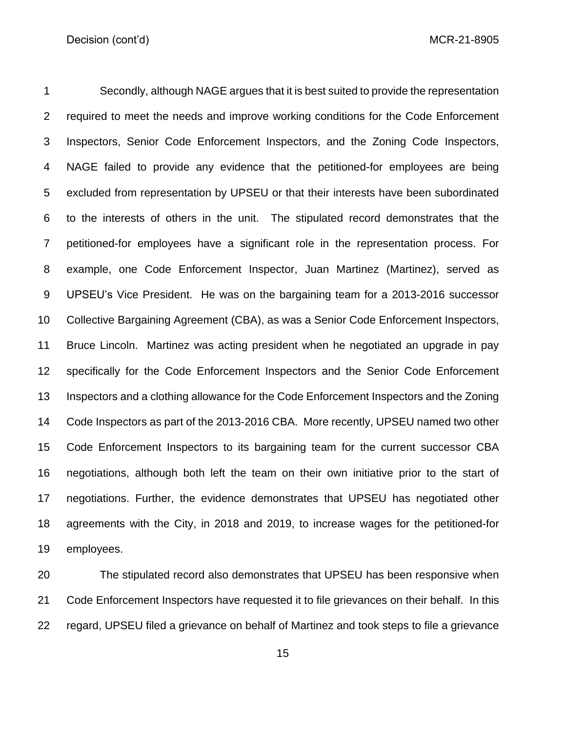Secondly, although NAGE argues that it is best suited to provide the representation required to meet the needs and improve working conditions for the Code Enforcement Inspectors, Senior Code Enforcement Inspectors, and the Zoning Code Inspectors, NAGE failed to provide any evidence that the petitioned-for employees are being excluded from representation by UPSEU or that their interests have been subordinated to the interests of others in the unit. The stipulated record demonstrates that the petitioned-for employees have a significant role in the representation process. For example, one Code Enforcement Inspector, Juan Martinez (Martinez), served as UPSEU's Vice President. He was on the bargaining team for a 2013-2016 successor Collective Bargaining Agreement (CBA), as was a Senior Code Enforcement Inspectors, Bruce Lincoln. Martinez was acting president when he negotiated an upgrade in pay specifically for the Code Enforcement Inspectors and the Senior Code Enforcement Inspectors and a clothing allowance for the Code Enforcement Inspectors and the Zoning Code Inspectors as part of the 2013-2016 CBA. More recently, UPSEU named two other Code Enforcement Inspectors to its bargaining team for the current successor CBA negotiations, although both left the team on their own initiative prior to the start of negotiations. Further, the evidence demonstrates that UPSEU has negotiated other agreements with the City, in 2018 and 2019, to increase wages for the petitioned-for employees.

 The stipulated record also demonstrates that UPSEU has been responsive when Code Enforcement Inspectors have requested it to file grievances on their behalf. In this regard, UPSEU filed a grievance on behalf of Martinez and took steps to file a grievance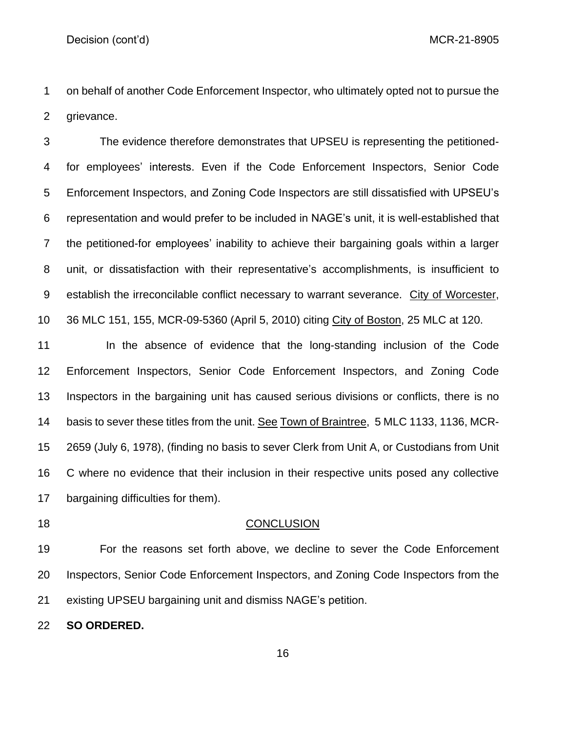on behalf of another Code Enforcement Inspector, who ultimately opted not to pursue the grievance.

 The evidence therefore demonstrates that UPSEU is representing the petitioned- for employees' interests. Even if the Code Enforcement Inspectors, Senior Code Enforcement Inspectors, and Zoning Code Inspectors are still dissatisfied with UPSEU's representation and would prefer to be included in NAGE's unit, it is well-established that the petitioned-for employees' inability to achieve their bargaining goals within a larger unit, or dissatisfaction with their representative's accomplishments, is insufficient to establish the irreconcilable conflict necessary to warrant severance. City of Worcester, 36 MLC 151, 155, MCR-09-5360 (April 5, 2010) citing City of Boston, 25 MLC at 120.

11 In the absence of evidence that the long-standing inclusion of the Code Enforcement Inspectors, Senior Code Enforcement Inspectors, and Zoning Code Inspectors in the bargaining unit has caused serious divisions or conflicts, there is no basis to sever these titles from the unit. See Town of Braintree, 5 MLC 1133, 1136, MCR- 2659 (July 6, 1978), (finding no basis to sever Clerk from Unit A, or Custodians from Unit C where no evidence that their inclusion in their respective units posed any collective bargaining difficulties for them).

#### 18 CONCLUSION

 For the reasons set forth above, we decline to sever the Code Enforcement Inspectors, Senior Code Enforcement Inspectors, and Zoning Code Inspectors from the existing UPSEU bargaining unit and dismiss NAGE's petition.

**SO ORDERED.**